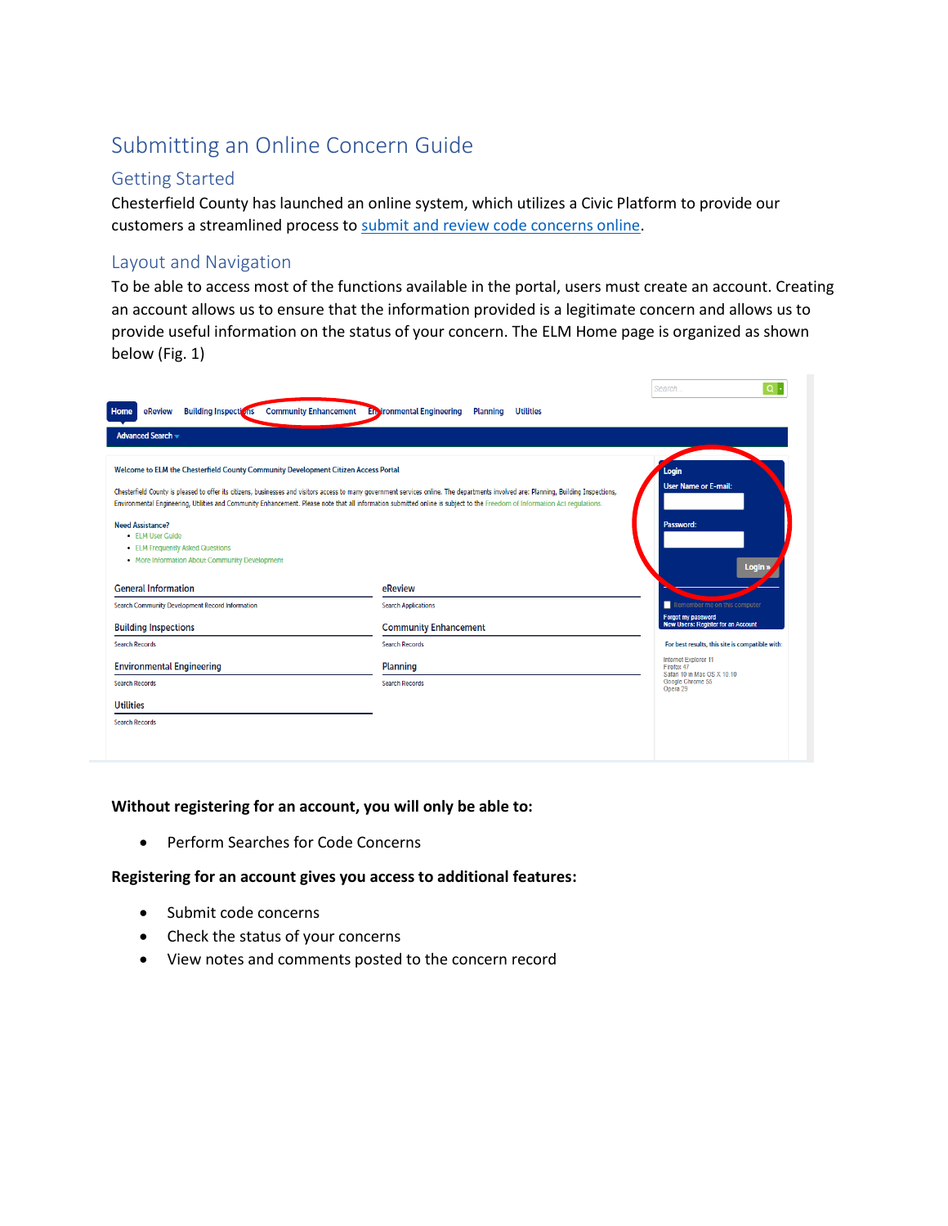# Submitting an Online Concern Guide

## Getting Started

Chesterfield County has launched an online system, which utilizes a Civic Platform to provide our customers a streamlined process to [submit and review code concerns online.](https://aca-supp.accela.com/chesterfield/Default.aspx)

### Layout and Navigation

To be able to access most of the functions available in the portal, users must create an account. Creating an account allows us to ensure that the information provided is a legitimate concern and allows us to provide useful information on the status of your concern. The ELM Home page is organized as shown below (Fig. 1)

|                                                                                                        |                                                                                                                                                                                                                                                                                                                                                                       | Search<br>$Q +$                                                   |
|--------------------------------------------------------------------------------------------------------|-----------------------------------------------------------------------------------------------------------------------------------------------------------------------------------------------------------------------------------------------------------------------------------------------------------------------------------------------------------------------|-------------------------------------------------------------------|
| <b>Community Enhancement</b><br><b>Building Inspections</b><br>eReview<br><b>Home</b>                  | <b>En ironmental Engineering</b><br><b>Utilities</b><br><b>Planning</b>                                                                                                                                                                                                                                                                                               |                                                                   |
| <b>Advanced Search v</b>                                                                               |                                                                                                                                                                                                                                                                                                                                                                       |                                                                   |
| Welcome to ELM the Chesterfield County Community Development Citizen Access Portal                     |                                                                                                                                                                                                                                                                                                                                                                       | Login                                                             |
| <b>Need Assistance?</b>                                                                                | Chesterfield County is pleased to offer its citizens, businesses and visitors access to many government services online. The departments involved are: Planning, Building Inspections,<br>Environmental Engineering, Utilities and Community Enhancement. Please note that all information submitted online is subject to the Freedom of Information Act regulations. | <b>User Name or E-mail:</b><br>Password:                          |
| • ELM User Guide<br>• ELM Frequently Asked Questions<br>• More Information About Community Development |                                                                                                                                                                                                                                                                                                                                                                       | Login »                                                           |
| <b>General Information</b>                                                                             | eReview                                                                                                                                                                                                                                                                                                                                                               |                                                                   |
| Search Community Development Record Information                                                        | <b>Search Applications</b>                                                                                                                                                                                                                                                                                                                                            | Remember me on this computer                                      |
| <b>Building Inspections</b>                                                                            | <b>Community Enhancement</b>                                                                                                                                                                                                                                                                                                                                          | Forgot my password<br><b>New Users: Register for an Account</b>   |
| <b>Search Records</b>                                                                                  | <b>Search Records</b>                                                                                                                                                                                                                                                                                                                                                 | For best results, this site is compatible with:                   |
| <b>Environmental Engineering</b>                                                                       | <b>Planning</b>                                                                                                                                                                                                                                                                                                                                                       | Internet Explorer 11<br>Firefox 47<br>Safari 10 in Mac OS X 10.10 |
| <b>Search Records</b>                                                                                  | <b>Search Records</b>                                                                                                                                                                                                                                                                                                                                                 | Google Chrome 55<br>Opera 29                                      |
| <b>Utilities</b>                                                                                       |                                                                                                                                                                                                                                                                                                                                                                       |                                                                   |
| <b>Search Records</b>                                                                                  |                                                                                                                                                                                                                                                                                                                                                                       |                                                                   |
|                                                                                                        |                                                                                                                                                                                                                                                                                                                                                                       |                                                                   |
|                                                                                                        |                                                                                                                                                                                                                                                                                                                                                                       |                                                                   |

#### **Without registering for an account, you will only be able to:**

• Perform Searches for Code Concerns

#### **Registering for an account gives you access to additional features:**

- Submit code concerns
- Check the status of your concerns
- View notes and comments posted to the concern record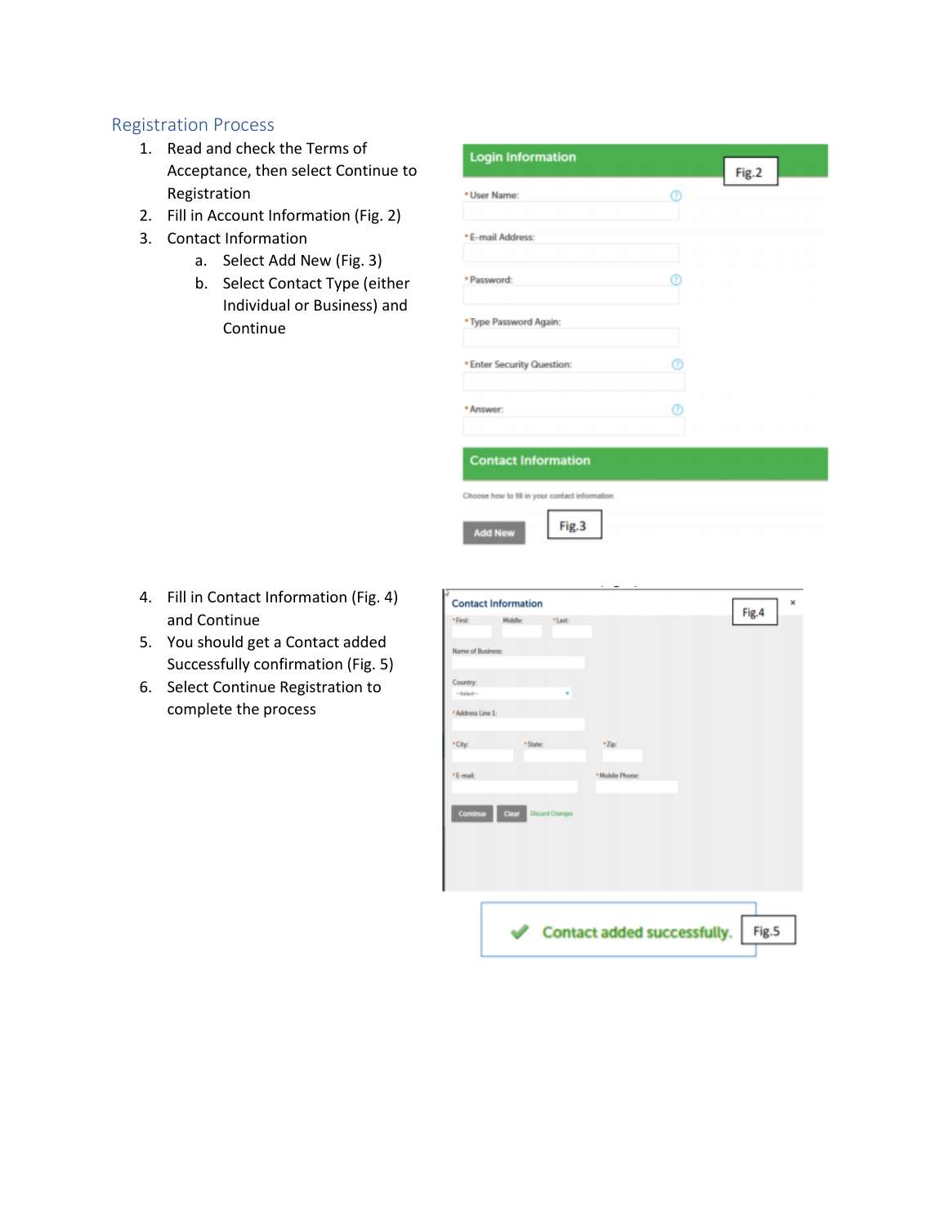# Registration Process

- 1. Read and check the Terms of Acceptance, then select Continue to Registration
- 2. Fill in Account Information (Fig. 2)
- 3. Contact Information
	- a. Select Add New (Fig. 3)
	- b. Select Contact Type (either Individual or Business) and Continue

| <b>Login Information</b>                        |   | Fig.2 |  |
|-------------------------------------------------|---|-------|--|
| * User Name:                                    | ⊚ |       |  |
| * E-mail Address:                               |   |       |  |
| * Password:                                     | ø |       |  |
| * Type Password Again:                          |   |       |  |
| <b>* Enter Security Question:</b>               | ℗ |       |  |
| * Answer:                                       | ⊚ |       |  |
| <b>Contact Information</b>                      |   |       |  |
| Choose how to fill in your contact information. |   |       |  |
| Fig.3<br><b>Add New</b>                         |   |       |  |

- 4. Fill in Contact Information (Fig. 4) and Continue
- 5. You should get a Contact added Successfully confirmation (Fig. 5)
- 6. Select Continue Registration to complete the process

|                         | <b>Contact Information</b> |                        |                                    | $\mathbf x$<br>Fig.4 |
|-------------------------|----------------------------|------------------------|------------------------------------|----------------------|
| * First:                | Middle:                    | *Last:                 |                                    |                      |
| Name of Business:       |                            |                        |                                    |                      |
| Country:<br>$-6$ algeb- |                            |                        |                                    |                      |
| * Address Line 1:       |                            |                        |                                    |                      |
| * City:                 | * State:                   |                        | *Zip:                              |                      |
| *E-mail:                |                            |                        | * Mobile Phone:                    |                      |
| Continue                | Clear                      | <b>Discard Changes</b> |                                    |                      |
|                         |                            |                        | <b>Contact added successfully.</b> | Fig.5                |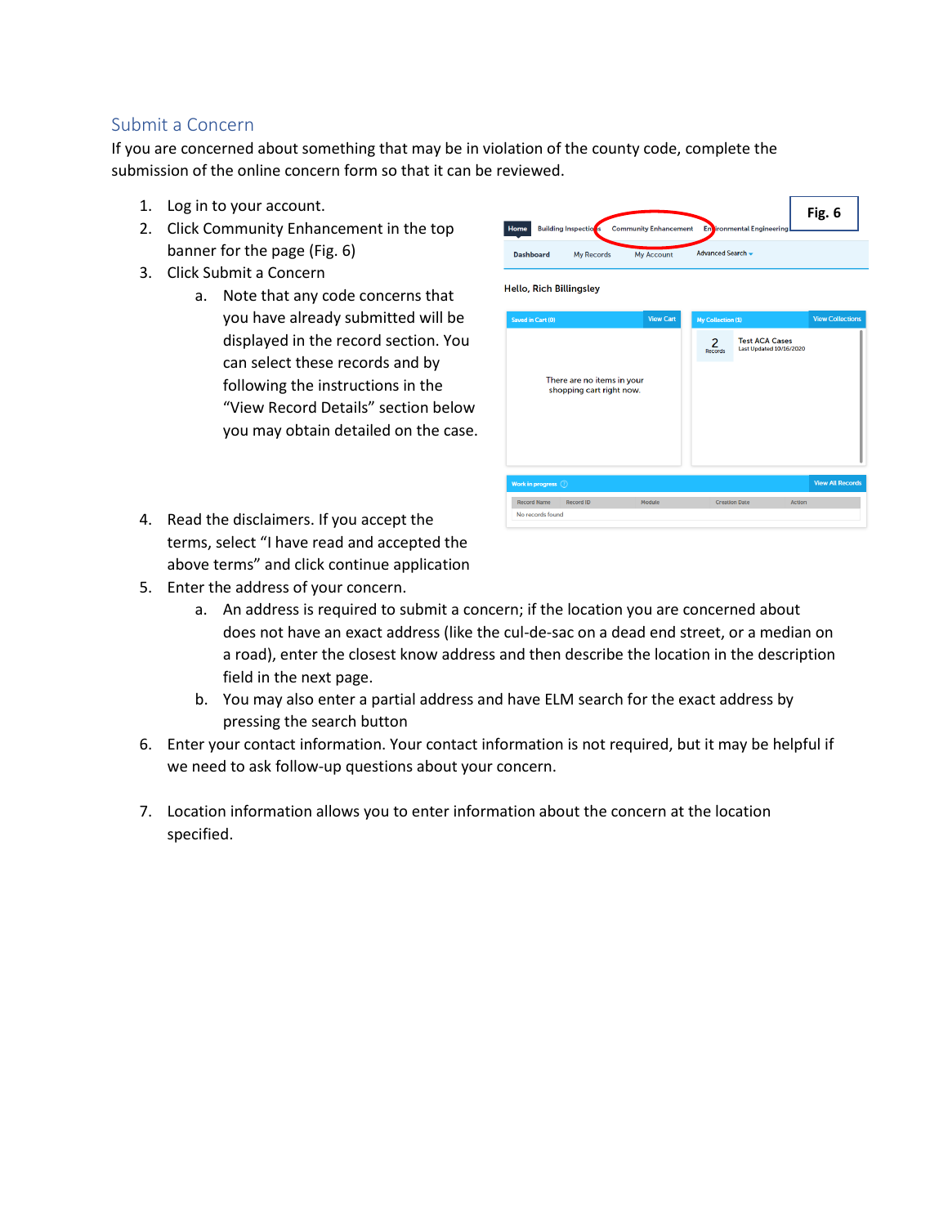# Submit a Concern

If you are concerned about something that may be in violation of the county code, complete the submission of the online concern form so that it can be reviewed.

- 1. Log in to your account.
- 2. Click Community Enhancement in the top banner for the page (Fig. 6)
- 3. Click Submit a Concern
	- a. Note that any code concerns that you have already submitted will be displayed in the record section. You can select these records and by following the instructions in the "View Record Details" section below you may obtain detailed on the case.
- 4. Read the disclaimers. If you accept the terms, select "I have read and accepted the above terms" and click continue application
- 5. Enter the address of your concern.
	- a. An address is required to submit a concern; if the location you are concerned about does not have an exact address (like the cul-de-sac on a dead end street, or a median on a road), enter the closest know address and then describe the location in the description field in the next page.
	- b. You may also enter a partial address and have ELM search for the exact address by pressing the search button
- 6. Enter your contact information. Your contact information is not required, but it may be helpful if we need to ask follow-up questions about your concern.
- 7. Location information allows you to enter information about the concern at the location specified.



**Fig. 6**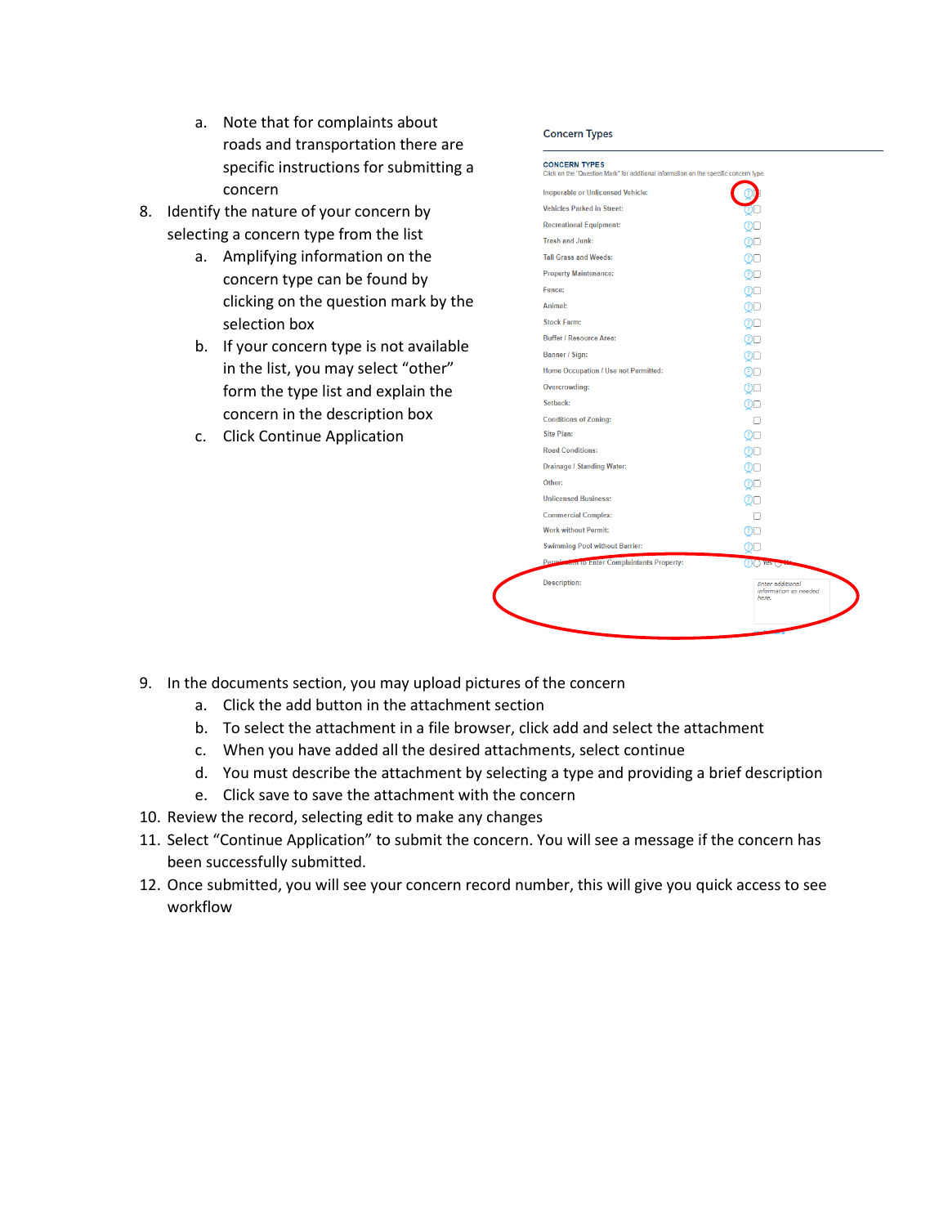- a. Note that for complaints about roads and transportation there are specific instructions for submitting a concern
- 8. Identify the nature of your concern by selecting a concern type from the list
	- a. Amplifying information on the concern type can be found by clicking on the question mark by the selection box
	- b. If your concern type is not available in the list, you may select "other" form the type list and explain the concern in the description box
	- c. Click Continue Application

#### **Concern Types**

| <b>Description:</b>                         | Enter additional<br>information as needed<br>here. |
|---------------------------------------------|----------------------------------------------------|
| Permission to Enter Complaintants Property: | $(?)()$ Yes $\overline{()}$                        |
| <b>Swimming Pool without Barrier:</b>       | (?)L                                               |
| <b>Work without Permit:</b>                 | മല                                                 |
| <b>Commercial Complex:</b>                  |                                                    |
| <b>Unlicensed Business:</b>                 | 0□                                                 |
| Other:                                      | ை                                                  |
| <b>Drainage / Standing Water:</b>           | $\circlearrowright$                                |
| <b>Road Conditions:</b>                     | $\circledcirc$                                     |
| <b>Site Plan:</b>                           | @ල                                                 |
| <b>Conditions of Zoning:</b>                | п                                                  |
| Setback:                                    | ⊙⊡                                                 |
| Overcrowding:                               | @⊟                                                 |
| Home Occupation / Use not Permitted:        | $\circlearrowright$                                |
| Banner / Sign:                              | $\circlearrowright$                                |
| <b>Buffer / Resource Area:</b>              | $\circledcirc$                                     |
| Stock Farm:                                 | $\circlearrowright$                                |
| Animal:                                     | 0□                                                 |
| Fence:                                      | $\circlearrowright$                                |
| <b>Property Maintenance:</b>                | $\circlearrowright$                                |
| <b>Tall Grass and Weeds:</b>                | @ල                                                 |
| <b>Trash and Junk:</b>                      | QO                                                 |
| <b>Recreational Equipment:</b>              | ু⊡                                                 |
| <b>Vehicles Parked in Street:</b>           |                                                    |
| Inoperable or Unlicensed Vehicle:           |                                                    |

- 9. In the documents section, you may upload pictures of the concern
	- a. Click the add button in the attachment section
	- b. To select the attachment in a file browser, click add and select the attachment
	- c. When you have added all the desired attachments, select continue
	- d. You must describe the attachment by selecting a type and providing a brief description
	- e. Click save to save the attachment with the concern
- 10. Review the record, selecting edit to make any changes
- 11. Select "Continue Application" to submit the concern. You will see a message if the concern has been successfully submitted.
- 12. Once submitted, you will see your concern record number, this will give you quick access to see workflow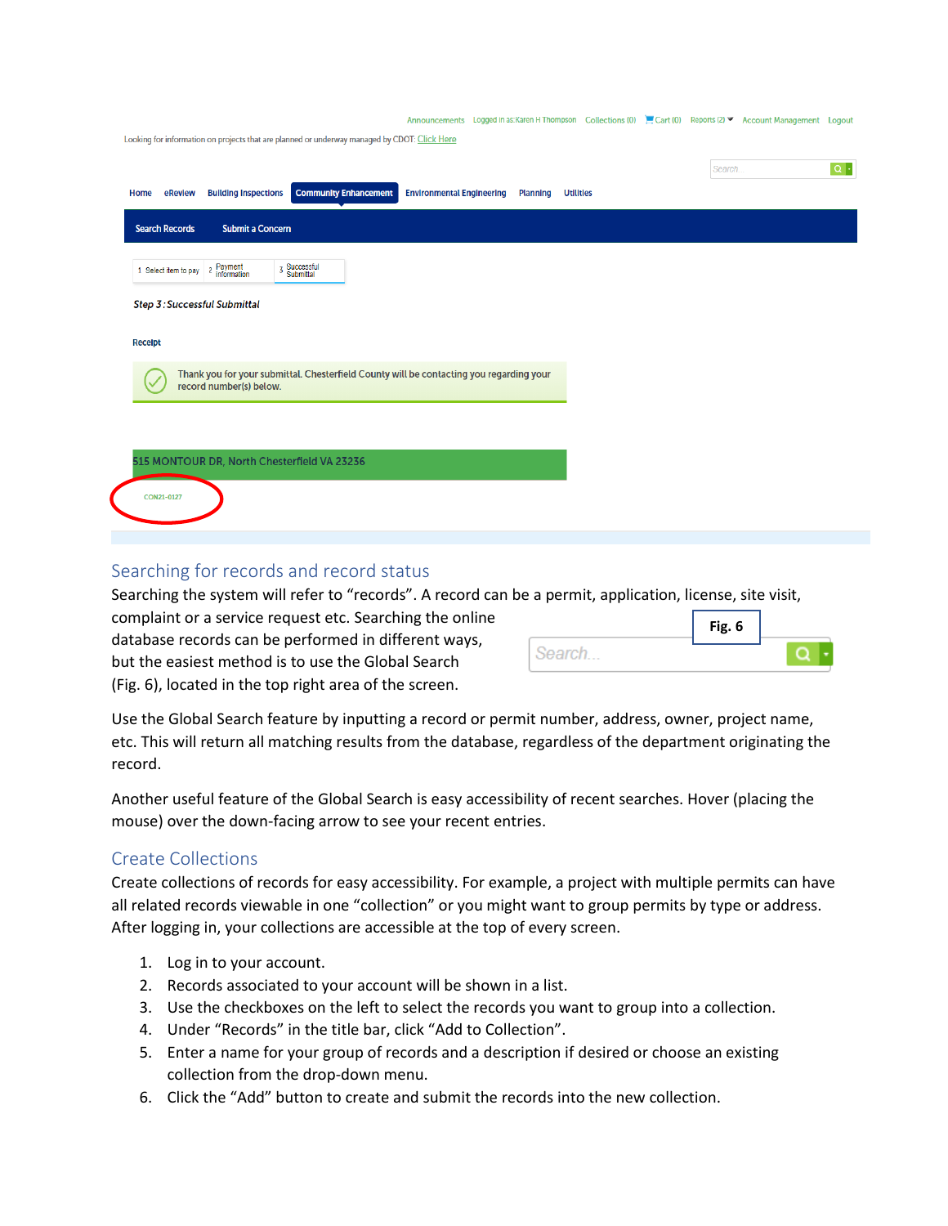|                |                       |                                          |                                                                                              |                                  |                 | Announcements Logged in as:Karen H Thompson Collections (0) E Cart (0) Reports (2) ▼ Account Management Logout |        |                    |
|----------------|-----------------------|------------------------------------------|----------------------------------------------------------------------------------------------|----------------------------------|-----------------|----------------------------------------------------------------------------------------------------------------|--------|--------------------|
|                |                       |                                          | Looking for information on projects that are planned or underway managed by CDOT: Click Here |                                  |                 |                                                                                                                |        |                    |
|                |                       |                                          |                                                                                              |                                  |                 |                                                                                                                | Search | $\boxed{\alpha}$ . |
| Home           | eReview               | <b>Building Inspections</b>              | <b>Community Enhancement</b>                                                                 | <b>Environmental Engineering</b> | <b>Planning</b> | <b>Utilities</b>                                                                                               |        |                    |
|                | <b>Search Records</b> | <b>Submit a Concern</b>                  |                                                                                              |                                  |                 |                                                                                                                |        |                    |
|                | 1 Select item to pay  | Payment<br>information<br>$\overline{2}$ | 3 Successful<br>Submittal                                                                    |                                  |                 |                                                                                                                |        |                    |
|                |                       | <b>Step 3: Successful Submittal</b>      |                                                                                              |                                  |                 |                                                                                                                |        |                    |
| <b>Receipt</b> |                       |                                          |                                                                                              |                                  |                 |                                                                                                                |        |                    |
|                |                       | record number(s) below.                  | Thank you for your submittal. Chesterfield County will be contacting you regarding your      |                                  |                 |                                                                                                                |        |                    |
|                |                       |                                          |                                                                                              |                                  |                 |                                                                                                                |        |                    |
|                |                       |                                          | 515 MONTOUR DR, North Chesterfield VA 23236                                                  |                                  |                 |                                                                                                                |        |                    |
|                |                       |                                          |                                                                                              |                                  |                 |                                                                                                                |        |                    |
|                | CON21-0127            |                                          |                                                                                              |                                  |                 |                                                                                                                |        |                    |
|                |                       |                                          |                                                                                              |                                  |                 |                                                                                                                |        |                    |

## Searching for records and record status

Searching the system will refer to "records". A record can be a permit, application, license, site visit,

complaint or a service request etc. Searching the online database records can be performed in different ways, but the easiest method is to use the Global Search (Fig. 6), located in the top right area of the screen.

|        | Fig. 6 |  |
|--------|--------|--|
| Search |        |  |

Use the Global Search feature by inputting a record or permit number, address, owner, project name, etc. This will return all matching results from the database, regardless of the department originating the record.

Another useful feature of the Global Search is easy accessibility of recent searches. Hover (placing the mouse) over the down-facing arrow to see your recent entries.

# Create Collections

Create collections of records for easy accessibility. For example, a project with multiple permits can have all related records viewable in one "collection" or you might want to group permits by type or address. After logging in, your collections are accessible at the top of every screen.

- 1. Log in to your account.
- 2. Records associated to your account will be shown in a list.
- 3. Use the checkboxes on the left to select the records you want to group into a collection.
- 4. Under "Records" in the title bar, click "Add to Collection".
- 5. Enter a name for your group of records and a description if desired or choose an existing collection from the drop-down menu.
- 6. Click the "Add" button to create and submit the records into the new collection.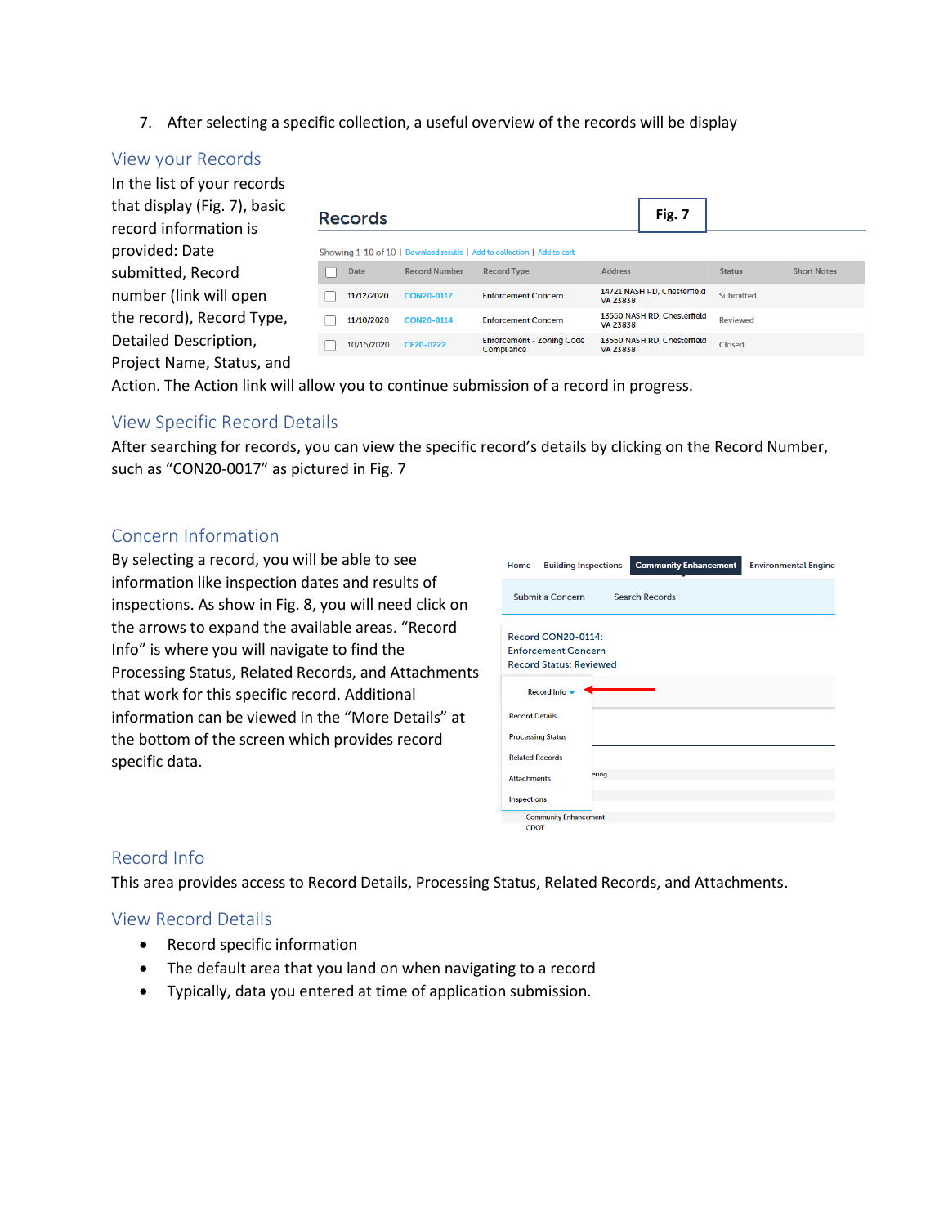7. After selecting a specific collection, a useful overview of the records will be display

### View your Records

| In the list of your records<br>that display (Fig. 7), basic<br>record information is | <b>Records</b> |                      |                                                                         |                | Fig. 7                      |               |                    |
|--------------------------------------------------------------------------------------|----------------|----------------------|-------------------------------------------------------------------------|----------------|-----------------------------|---------------|--------------------|
| provided: Date                                                                       |                |                      | Showing 1-10 of 10   Download results   Add to collection   Add to cart |                |                             |               |                    |
| submitted, Record                                                                    | <b>Date</b>    | <b>Record Number</b> | <b>Record Type</b>                                                      | <b>Address</b> |                             | <b>Status</b> | <b>Short Notes</b> |
| number (link will open                                                               | 11/12/2020     | CON20-0117           | <b>Enforcement Concern</b>                                              | VA 23838       | 14721 NASH RD, Chesterfield | Submitted     |                    |
| the record), Record Type,                                                            | 11/10/2020     | CON20-0114           | <b>Enforcement Concern</b>                                              | VA 23838       | 13550 NASH RD, Chesterfield | Reviewed      |                    |
| Detailed Description,                                                                | 10/16/2020     | CE20-0222            | <b>Enforcement - Zoning Code</b><br>Compliance                          | VA 23838       | 13550 NASH RD, Chesterfield | Closed        |                    |
| Project Name, Status, and                                                            |                |                      |                                                                         |                |                             |               |                    |

Action. The Action link will allow you to continue submission of a record in progress.

# View Specific Record Details

After searching for records, you can view the specific record's details by clicking on the Record Number, such as "CON20-0017" as pictured in Fig. 7

## Concern Information

By selecting a record, you will be able to see information like inspection dates and results of inspections. As show in Fig. 8, you will need click on the arrows to expand the available areas. "Record Info" is where you will navigate to find the Processing Status, Related Records, and Attachments that work for this specific record. Additional information can be viewed in the "More Details" at the bottom of the screen which provides record specific data.

| Home                                                                               | <b>Building Inspections</b> | <b>Community Enhancement</b> | <b>Environmental Engine</b> |
|------------------------------------------------------------------------------------|-----------------------------|------------------------------|-----------------------------|
| Submit a Concern                                                                   |                             | <b>Search Records</b>        |                             |
| Record CON20-0114:<br><b>Enforcement Concern</b><br><b>Record Status: Reviewed</b> |                             |                              |                             |
| Record Info                                                                        |                             |                              |                             |
| <b>Record Details</b>                                                              |                             |                              |                             |
| <b>Processing Status</b>                                                           |                             |                              |                             |
| <b>Related Records</b>                                                             |                             |                              |                             |
| <b>Attachments</b>                                                                 | ering                       |                              |                             |
| <b>Inspections</b>                                                                 |                             |                              |                             |
| <b>Community Enhancement</b>                                                       |                             |                              |                             |
| <b>CDOT</b>                                                                        |                             |                              |                             |

### Record Info

This area provides access to Record Details, Processing Status, Related Records, and Attachments.

### View Record Details

- Record specific information
- The default area that you land on when navigating to a record
- Typically, data you entered at time of application submission.